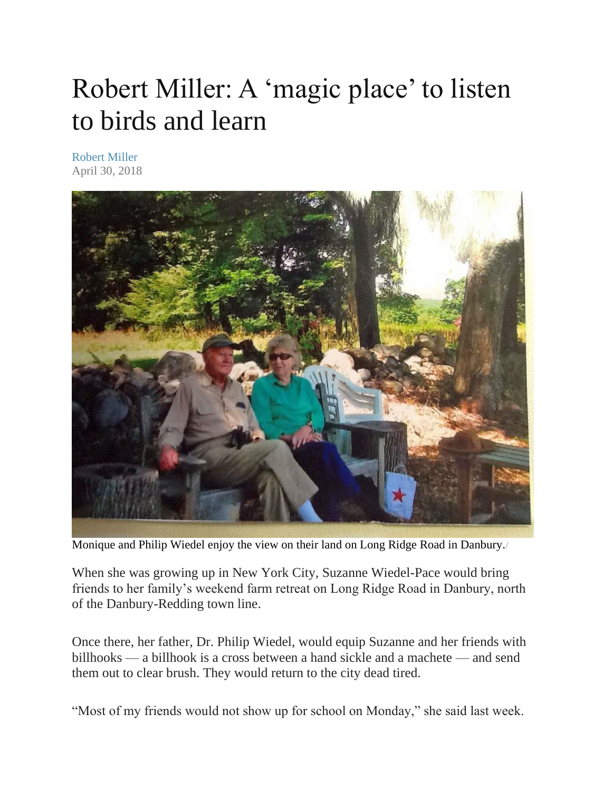## Robert Miller: A 'magic place' to listen to birds and learn

[Robert Miller](https://www.newstimes.com/author/robert-miller/) April 30, 2018



Monique and Philip Wiedel enjoy the view on their land on Long Ridge Road in Danbury./

When she was growing up in New York City, Suzanne Wiedel-Pace would bring friends to her family's weekend farm retreat on Long Ridge Road in Danbury, north of the Danbury-Redding town line.

Once there, her father, Dr. Philip Wiedel, would equip Suzanne and her friends with billhooks — a billhook is a cross between a hand sickle and a machete — and send them out to clear brush. They would return to the city dead tired.

"Most of my friends would not show up for school on Monday," she said last week.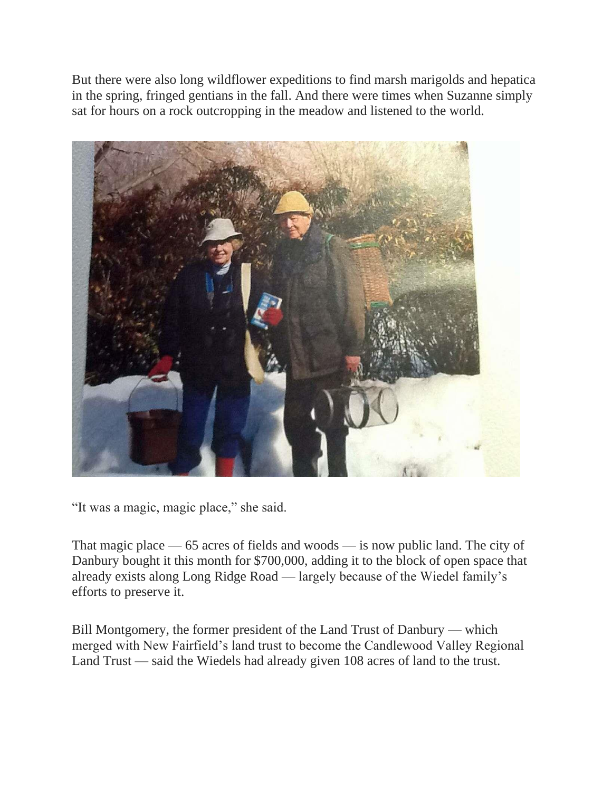But there were also long wildflower expeditions to find marsh marigolds and hepatica in the spring, fringed gentians in the fall. And there were times when Suzanne simply sat for hours on a rock outcropping in the meadow and listened to the world.



"It was a magic, magic place," she said.

That magic place — 65 acres of fields and woods — is now public land. The city of Danbury bought it this month for \$700,000, adding it to the block of open space that already exists along Long Ridge Road — largely because of the Wiedel family's efforts to preserve it.

Bill Montgomery, the former president of the Land Trust of Danbury — which merged with New Fairfield's land trust to become the Candlewood Valley Regional Land Trust — said the Wiedels had already given 108 acres of land to the trust.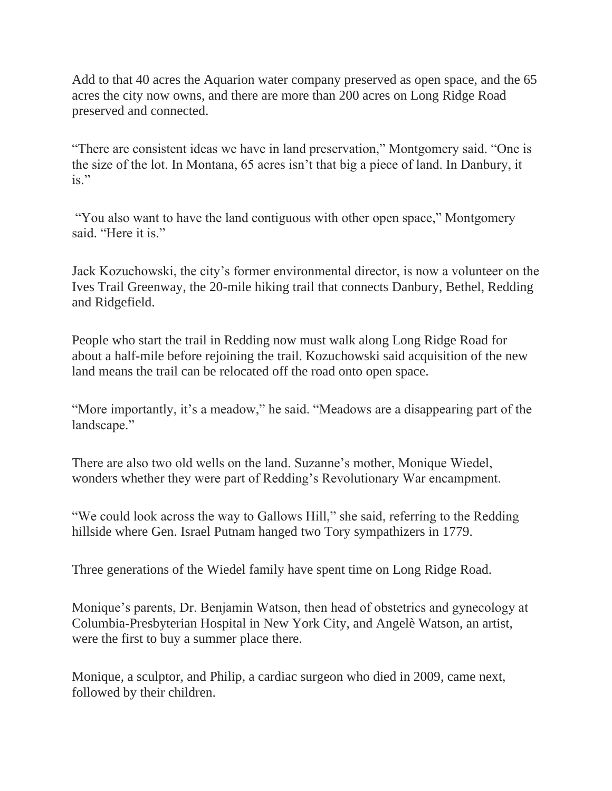Add to that 40 acres the Aquarion water company preserved as open space, and the 65 acres the city now owns, and there are more than 200 acres on Long Ridge Road preserved and connected.

"There are consistent ideas we have in land preservation," Montgomery said. "One is the size of the lot. In Montana, 65 acres isn't that big a piece of land. In Danbury, it  $is.$ "

"You also want to have the land contiguous with other open space," Montgomery said. "Here it is."

Jack Kozuchowski, the city's former environmental director, is now a volunteer on the Ives Trail Greenway, the 20-mile hiking trail that connects Danbury, Bethel, Redding and Ridgefield.

People who start the trail in Redding now must walk along Long Ridge Road for about a half-mile before rejoining the trail. Kozuchowski said acquisition of the new land means the trail can be relocated off the road onto open space.

"More importantly, it's a meadow," he said. "Meadows are a disappearing part of the landscape."

There are also two old wells on the land. Suzanne's mother, Monique Wiedel, wonders whether they were part of Redding's Revolutionary War encampment.

"We could look across the way to Gallows Hill," she said, referring to the Redding hillside where Gen. Israel Putnam hanged two Tory sympathizers in 1779.

Three generations of the Wiedel family have spent time on Long Ridge Road.

Monique's parents, Dr. Benjamin Watson, then head of obstetrics and gynecology at Columbia-Presbyterian Hospital in New York City, and Angelè Watson, an artist, were the first to buy a summer place there.

Monique, a sculptor, and Philip, a cardiac surgeon who died in 2009, came next, followed by their children.